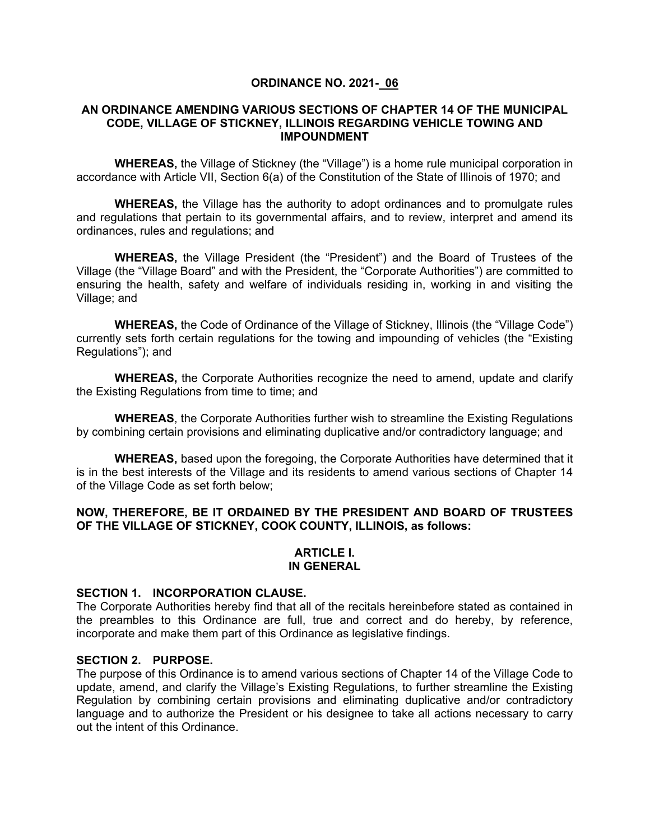### **ORDINANCE NO. 2021- 06**

### **AN ORDINANCE AMENDING VARIOUS SECTIONS OF CHAPTER 14 OF THE MUNICIPAL CODE, VILLAGE OF STICKNEY, ILLINOIS REGARDING VEHICLE TOWING AND IMPOUNDMENT**

**WHEREAS,** the Village of Stickney (the "Village") is a home rule municipal corporation in accordance with Article VII, Section 6(a) of the Constitution of the State of Illinois of 1970; and

**WHEREAS,** the Village has the authority to adopt ordinances and to promulgate rules and regulations that pertain to its governmental affairs, and to review, interpret and amend its ordinances, rules and regulations; and

**WHEREAS,** the Village President (the "President") and the Board of Trustees of the Village (the "Village Board" and with the President, the "Corporate Authorities") are committed to ensuring the health, safety and welfare of individuals residing in, working in and visiting the Village; and

**WHEREAS,** the Code of Ordinance of the Village of Stickney, Illinois (the "Village Code") currently sets forth certain regulations for the towing and impounding of vehicles (the "Existing Regulations"); and

**WHEREAS,** the Corporate Authorities recognize the need to amend, update and clarify the Existing Regulations from time to time; and

**WHEREAS**, the Corporate Authorities further wish to streamline the Existing Regulations by combining certain provisions and eliminating duplicative and/or contradictory language; and

**WHEREAS,** based upon the foregoing, the Corporate Authorities have determined that it is in the best interests of the Village and its residents to amend various sections of Chapter 14 of the Village Code as set forth below;

### **NOW, THEREFORE, BE IT ORDAINED BY THE PRESIDENT AND BOARD OF TRUSTEES OF THE VILLAGE OF STICKNEY, COOK COUNTY, ILLINOIS, as follows:**

#### **ARTICLE I. IN GENERAL**

# **SECTION 1. INCORPORATION CLAUSE.**

The Corporate Authorities hereby find that all of the recitals hereinbefore stated as contained in the preambles to this Ordinance are full, true and correct and do hereby, by reference, incorporate and make them part of this Ordinance as legislative findings.

### **SECTION 2. PURPOSE.**

The purpose of this Ordinance is to amend various sections of Chapter 14 of the Village Code to update, amend, and clarify the Village's Existing Regulations, to further streamline the Existing Regulation by combining certain provisions and eliminating duplicative and/or contradictory language and to authorize the President or his designee to take all actions necessary to carry out the intent of this Ordinance.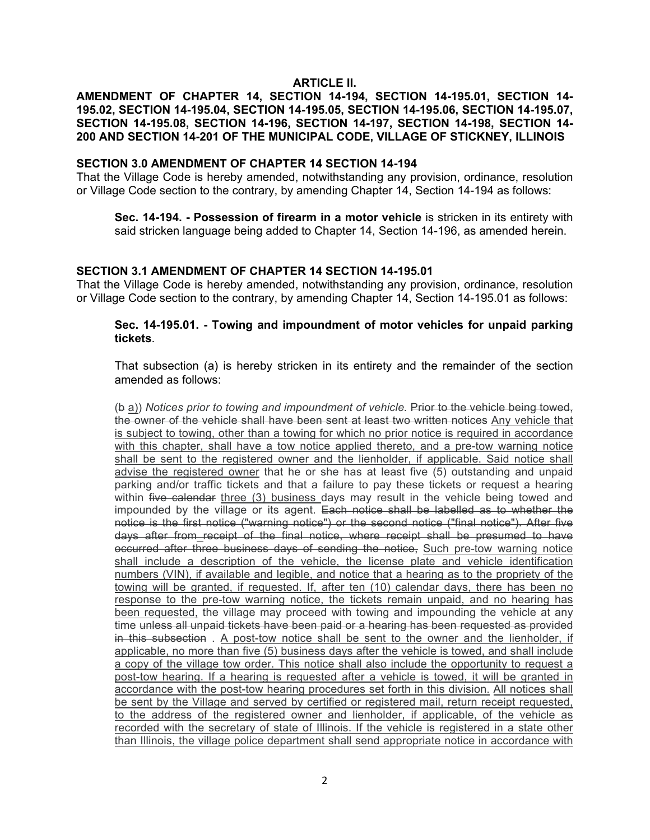### **ARTICLE II.**

### **AMENDMENT OF CHAPTER 14, SECTION 14-194, SECTION 14-195.01, SECTION 14- 195.02, SECTION 14-195.04, SECTION 14-195.05, SECTION 14-195.06, SECTION 14-195.07, SECTION 14-195.08, SECTION 14-196, SECTION 14-197, SECTION 14-198, SECTION 14- 200 AND SECTION 14-201 OF THE MUNICIPAL CODE, VILLAGE OF STICKNEY, ILLINOIS**

### **SECTION 3.0 AMENDMENT OF CHAPTER 14 SECTION 14-194**

That the Village Code is hereby amended, notwithstanding any provision, ordinance, resolution or Village Code section to the contrary, by amending Chapter 14, Section 14-194 as follows:

**Sec. 14-194. - Possession of firearm in a motor vehicle** is stricken in its entirety with said stricken language being added to Chapter 14, Section 14-196, as amended herein.

## **SECTION 3.1 AMENDMENT OF CHAPTER 14 SECTION 14-195.01**

That the Village Code is hereby amended, notwithstanding any provision, ordinance, resolution or Village Code section to the contrary, by amending Chapter 14, Section 14-195.01 as follows:

### **Sec. 14-195.01. - Towing and impoundment of motor vehicles for unpaid parking tickets**.

That subsection (a) is hereby stricken in its entirety and the remainder of the section amended as follows:

(b a)) *Notices prior to towing and impoundment of vehicle.* Prior to the vehicle being towed, the owner of the vehicle shall have been sent at least two written notices Any vehicle that is subject to towing, other than a towing for which no prior notice is required in accordance with this chapter, shall have a tow notice applied thereto, and a pre-tow warning notice shall be sent to the registered owner and the lienholder, if applicable. Said notice shall advise the registered owner that he or she has at least five (5) outstanding and unpaid parking and/or traffic tickets and that a failure to pay these tickets or request a hearing within five calendar three (3) business days may result in the vehicle being towed and impounded by the village or its agent. Each notice shall be labelled as to whether the notice is the first notice ("warning notice") or the second notice ("final notice"). After five days after from receipt of the final notice, where receipt shall be presumed to have occurred after three business days of sending the notice, Such pre-tow warning notice shall include a description of the vehicle, the license plate and vehicle identification numbers (VIN), if available and legible, and notice that a hearing as to the propriety of the towing will be granted, if requested. If, after ten (10) calendar days, there has been no response to the pre-tow warning notice, the tickets remain unpaid, and no hearing has been requested, the village may proceed with towing and impounding the vehicle at any time unless all unpaid tickets have been paid or a hearing has been requested as provided in this subsection . A post-tow notice shall be sent to the owner and the lienholder, if applicable, no more than five (5) business days after the vehicle is towed, and shall include a copy of the village tow order. This notice shall also include the opportunity to request a post-tow hearing. If a hearing is requested after a vehicle is towed, it will be granted in accordance with the post-tow hearing procedures set forth in this division. All notices shall be sent by the Village and served by certified or registered mail, return receipt requested, to the address of the registered owner and lienholder, if applicable, of the vehicle as recorded with the secretary of state of Illinois. If the vehicle is registered in a state other than Illinois, the village police department shall send appropriate notice in accordance with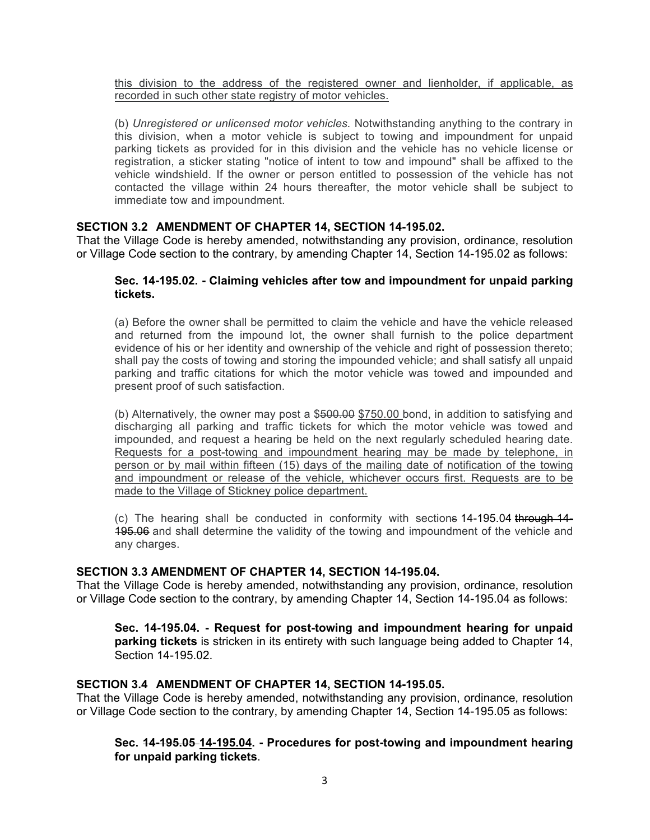this division to the address of the registered owner and lienholder, if applicable, as recorded in such other state registry of motor vehicles.

(b) *Unregistered or unlicensed motor vehicles.* Notwithstanding anything to the contrary in this division, when a motor vehicle is subject to towing and impoundment for unpaid parking tickets as provided for in this division and the vehicle has no vehicle license or registration, a sticker stating "notice of intent to tow and impound" shall be affixed to the vehicle windshield. If the owner or person entitled to possession of the vehicle has not contacted the village within 24 hours thereafter, the motor vehicle shall be subject to immediate tow and impoundment.

### **SECTION 3.2 AMENDMENT OF CHAPTER 14, SECTION 14-195.02.**

That the Village Code is hereby amended, notwithstanding any provision, ordinance, resolution or Village Code section to the contrary, by amending Chapter 14, Section 14-195.02 as follows:

### **Sec. 14-195.02. - Claiming vehicles after tow and impoundment for unpaid parking tickets.**

(a) Before the owner shall be permitted to claim the vehicle and have the vehicle released and returned from the impound lot, the owner shall furnish to the police department evidence of his or her identity and ownership of the vehicle and right of possession thereto; shall pay the costs of towing and storing the impounded vehicle; and shall satisfy all unpaid parking and traffic citations for which the motor vehicle was towed and impounded and present proof of such satisfaction.

(b) Alternatively, the owner may post a  $$500.00$  \$750.00 bond, in addition to satisfying and discharging all parking and traffic tickets for which the motor vehicle was towed and impounded, and request a hearing be held on the next regularly scheduled hearing date. Requests for a post-towing and impoundment hearing may be made by telephone, in person or by mail within fifteen (15) days of the mailing date of notification of the towing and impoundment or release of the vehicle, whichever occurs first. Requests are to be made to the Village of Stickney police department.

(c) The hearing shall be conducted in conformity with sections 14-195.04 through 14- 195.06 and shall determine the validity of the towing and impoundment of the vehicle and any charges.

### **SECTION 3.3 AMENDMENT OF CHAPTER 14, SECTION 14-195.04.**

That the Village Code is hereby amended, notwithstanding any provision, ordinance, resolution or Village Code section to the contrary, by amending Chapter 14, Section 14-195.04 as follows:

**Sec. 14-195.04. - Request for post-towing and impoundment hearing for unpaid parking tickets** is stricken in its entirety with such language being added to Chapter 14, Section 14-195.02.

## **SECTION 3.4 AMENDMENT OF CHAPTER 14, SECTION 14-195.05.**

That the Village Code is hereby amended, notwithstanding any provision, ordinance, resolution or Village Code section to the contrary, by amending Chapter 14, Section 14-195.05 as follows:

### **Sec. 14-195.05 14-195.04. - Procedures for post-towing and impoundment hearing for unpaid parking tickets**.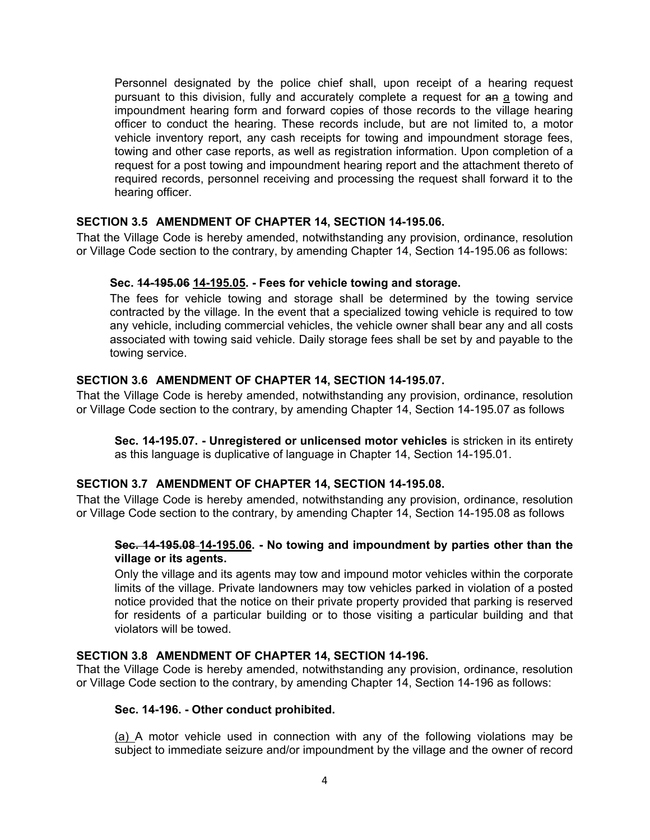Personnel designated by the police chief shall, upon receipt of a hearing request pursuant to this division, fully and accurately complete a request for an a towing and impoundment hearing form and forward copies of those records to the village hearing officer to conduct the hearing. These records include, but are not limited to, a motor vehicle inventory report, any cash receipts for towing and impoundment storage fees, towing and other case reports, as well as registration information. Upon completion of a request for a post towing and impoundment hearing report and the attachment thereto of required records, personnel receiving and processing the request shall forward it to the hearing officer.

## **SECTION 3.5 AMENDMENT OF CHAPTER 14, SECTION 14-195.06.**

That the Village Code is hereby amended, notwithstanding any provision, ordinance, resolution or Village Code section to the contrary, by amending Chapter 14, Section 14-195.06 as follows:

### **Sec. 14-195.06 14-195.05. - Fees for vehicle towing and storage.**

The fees for vehicle towing and storage shall be determined by the towing service contracted by the village. In the event that a specialized towing vehicle is required to tow any vehicle, including commercial vehicles, the vehicle owner shall bear any and all costs associated with towing said vehicle. Daily storage fees shall be set by and payable to the towing service.

### **SECTION 3.6 AMENDMENT OF CHAPTER 14, SECTION 14-195.07.**

That the Village Code is hereby amended, notwithstanding any provision, ordinance, resolution or Village Code section to the contrary, by amending Chapter 14, Section 14-195.07 as follows

**Sec. 14-195.07. - Unregistered or unlicensed motor vehicles** is stricken in its entirety as this language is duplicative of language in Chapter 14, Section 14-195.01.

### **SECTION 3.7 AMENDMENT OF CHAPTER 14, SECTION 14-195.08.**

That the Village Code is hereby amended, notwithstanding any provision, ordinance, resolution or Village Code section to the contrary, by amending Chapter 14, Section 14-195.08 as follows

### **Sec. 14-195.08 14-195.06. - No towing and impoundment by parties other than the village or its agents.**

Only the village and its agents may tow and impound motor vehicles within the corporate limits of the village. Private landowners may tow vehicles parked in violation of a posted notice provided that the notice on their private property provided that parking is reserved for residents of a particular building or to those visiting a particular building and that violators will be towed.

### **SECTION 3.8 AMENDMENT OF CHAPTER 14, SECTION 14-196.**

That the Village Code is hereby amended, notwithstanding any provision, ordinance, resolution or Village Code section to the contrary, by amending Chapter 14, Section 14-196 as follows:

#### **Sec. 14-196. - Other conduct prohibited.**

(a) A motor vehicle used in connection with any of the following violations may be subject to immediate seizure and/or impoundment by the village and the owner of record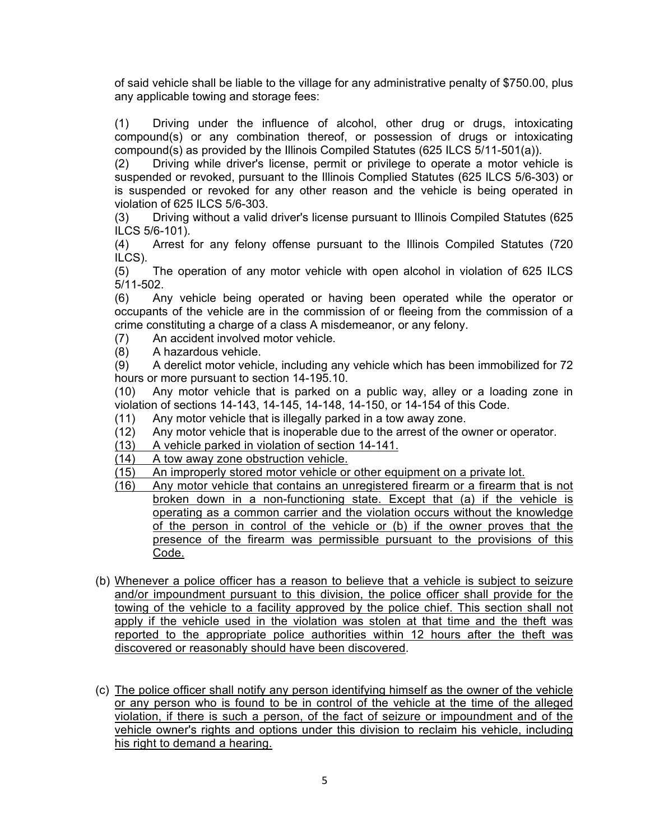of said vehicle shall be liable to the village for any administrative penalty of \$750.00, plus any applicable towing and storage fees:

(1) Driving under the influence of alcohol, other drug or drugs, intoxicating compound(s) or any combination thereof, or possession of drugs or intoxicating compound(s) as provided by the Illinois Compiled Statutes (625 ILCS 5/11-501(a)).

(2) Driving while driver's license, permit or privilege to operate a motor vehicle is suspended or revoked, pursuant to the Illinois Complied Statutes (625 ILCS 5/6-303) or is suspended or revoked for any other reason and the vehicle is being operated in violation of 625 ILCS 5/6-303.

(3) Driving without a valid driver's license pursuant to Illinois Compiled Statutes (625 ILCS 5/6-101).

(4) Arrest for any felony offense pursuant to the Illinois Compiled Statutes (720 ILCS).

(5) The operation of any motor vehicle with open alcohol in violation of 625 ILCS 5/11-502.

(6) Any vehicle being operated or having been operated while the operator or occupants of the vehicle are in the commission of or fleeing from the commission of a crime constituting a charge of a class A misdemeanor, or any felony.

- (7) An accident involved motor vehicle.<br>(8) A hazardous vehicle.
- A hazardous vehicle.

(9) A derelict motor vehicle, including any vehicle which has been immobilized for 72 hours or more pursuant to section 14-195.10.

(10) Any motor vehicle that is parked on a public way, alley or a loading zone in violation of sections 14-143, 14-145, 14-148, 14-150, or 14-154 of this Code.

(11) Any motor vehicle that is illegally parked in a tow away zone.

(12) Any motor vehicle that is inoperable due to the arrest of the owner or operator.

(13) A vehicle parked in violation of section 14-141.

(14) A tow away zone obstruction vehicle.

(15) An improperly stored motor vehicle or other equipment on a private lot.

- (16) Any motor vehicle that contains an unregistered firearm or a firearm that is not broken down in a non-functioning state. Except that (a) if the vehicle is operating as a common carrier and the violation occurs without the knowledge of the person in control of the vehicle or (b) if the owner proves that the presence of the firearm was permissible pursuant to the provisions of this Code.
- (b) Whenever a police officer has a reason to believe that a vehicle is subject to seizure and/or impoundment pursuant to this division, the police officer shall provide for the towing of the vehicle to a facility approved by the police chief. This section shall not apply if the vehicle used in the violation was stolen at that time and the theft was reported to the appropriate police authorities within 12 hours after the theft was discovered or reasonably should have been discovered.
- (c) The police officer shall notify any person identifying himself as the owner of the vehicle or any person who is found to be in control of the vehicle at the time of the alleged violation, if there is such a person, of the fact of seizure or impoundment and of the vehicle owner's rights and options under this division to reclaim his vehicle, including his right to demand a hearing.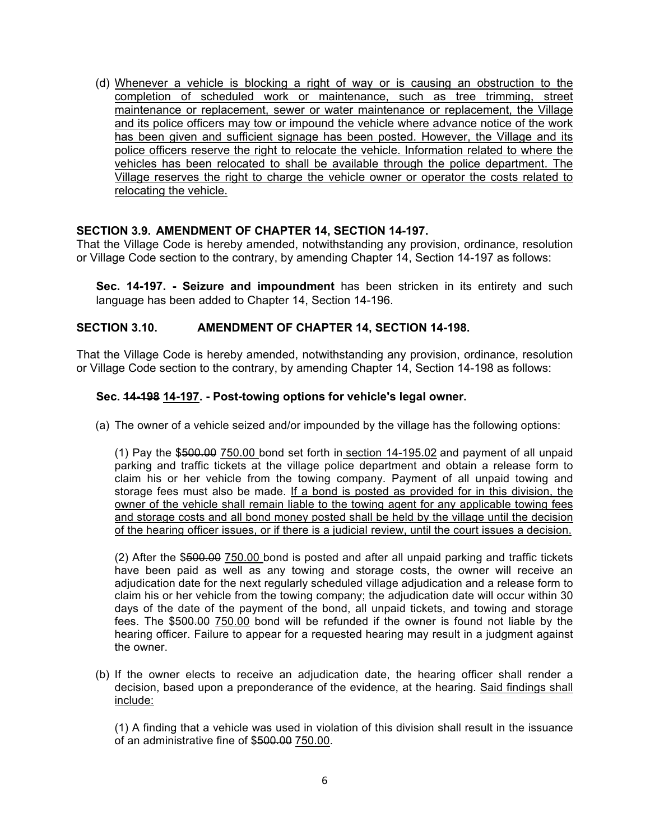(d) Whenever a vehicle is blocking a right of way or is causing an obstruction to the completion of scheduled work or maintenance, such as tree trimming, street maintenance or replacement, sewer or water maintenance or replacement, the Village and its police officers may tow or impound the vehicle where advance notice of the work has been given and sufficient signage has been posted. However, the Village and its police officers reserve the right to relocate the vehicle. Information related to where the vehicles has been relocated to shall be available through the police department. The Village reserves the right to charge the vehicle owner or operator the costs related to relocating the vehicle.

## **SECTION 3.9. AMENDMENT OF CHAPTER 14, SECTION 14-197.**

That the Village Code is hereby amended, notwithstanding any provision, ordinance, resolution or Village Code section to the contrary, by amending Chapter 14, Section 14-197 as follows:

**Sec. 14-197. - Seizure and impoundment** has been stricken in its entirety and such language has been added to Chapter 14, Section 14-196.

### **SECTION 3.10. AMENDMENT OF CHAPTER 14, SECTION 14-198.**

That the Village Code is hereby amended, notwithstanding any provision, ordinance, resolution or Village Code section to the contrary, by amending Chapter 14, Section 14-198 as follows:

### **Sec. 14-198 14-197. - Post-towing options for vehicle's legal owner.**

(a) The owner of a vehicle seized and/or impounded by the village has the following options:

(1) Pay the \$500.00 750.00 bond set forth in section 14-195.02 and payment of all unpaid parking and traffic tickets at the village police department and obtain a release form to claim his or her vehicle from the towing company. Payment of all unpaid towing and storage fees must also be made. If a bond is posted as provided for in this division, the owner of the vehicle shall remain liable to the towing agent for any applicable towing fees and storage costs and all bond money posted shall be held by the village until the decision of the hearing officer issues, or if there is a judicial review, until the court issues a decision.

(2) After the \$500.00 750.00 bond is posted and after all unpaid parking and traffic tickets have been paid as well as any towing and storage costs, the owner will receive an adjudication date for the next regularly scheduled village adjudication and a release form to claim his or her vehicle from the towing company; the adjudication date will occur within 30 days of the date of the payment of the bond, all unpaid tickets, and towing and storage fees. The \$500.00 750.00 bond will be refunded if the owner is found not liable by the hearing officer. Failure to appear for a requested hearing may result in a judgment against the owner.

(b) If the owner elects to receive an adjudication date, the hearing officer shall render a decision, based upon a preponderance of the evidence, at the hearing. Said findings shall include:

(1) A finding that a vehicle was used in violation of this division shall result in the issuance of an administrative fine of \$500.00 750.00.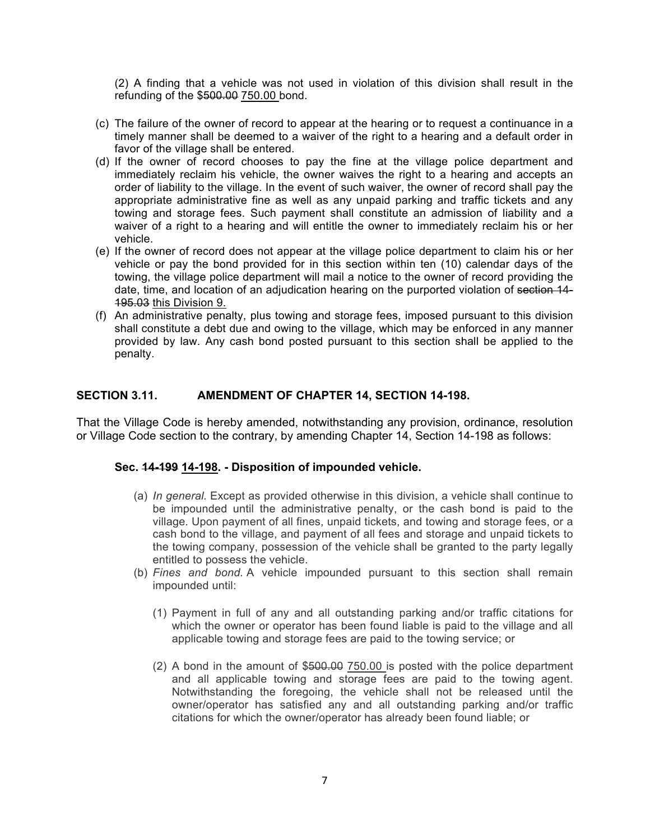(2) A finding that a vehicle was not used in violation of this division shall result in the refunding of the \$500.00 750.00 bond.

- (c) The failure of the owner of record to appear at the hearing or to request a continuance in a timely manner shall be deemed to a waiver of the right to a hearing and a default order in favor of the village shall be entered.
- (d) If the owner of record chooses to pay the fine at the village police department and immediately reclaim his vehicle, the owner waives the right to a hearing and accepts an order of liability to the village. In the event of such waiver, the owner of record shall pay the appropriate administrative fine as well as any unpaid parking and traffic tickets and any towing and storage fees. Such payment shall constitute an admission of liability and a waiver of a right to a hearing and will entitle the owner to immediately reclaim his or her vehicle.
- (e) If the owner of record does not appear at the village police department to claim his or her vehicle or pay the bond provided for in this section within ten (10) calendar days of the towing, the village police department will mail a notice to the owner of record providing the date, time, and location of an adjudication hearing on the purported violation of section 14-195.03 this Division 9.
- (f) An administrative penalty, plus towing and storage fees, imposed pursuant to this division shall constitute a debt due and owing to the village, which may be enforced in any manner provided by law. Any cash bond posted pursuant to this section shall be applied to the penalty.

### **SECTION 3.11. AMENDMENT OF CHAPTER 14, SECTION 14-198.**

That the Village Code is hereby amended, notwithstanding any provision, ordinance, resolution or Village Code section to the contrary, by amending Chapter 14, Section 14-198 as follows:

### **Sec. 14-199 14-198. - Disposition of impounded vehicle.**

- (a) *In general.* Except as provided otherwise in this division, a vehicle shall continue to be impounded until the administrative penalty, or the cash bond is paid to the village. Upon payment of all fines, unpaid tickets, and towing and storage fees, or a cash bond to the village, and payment of all fees and storage and unpaid tickets to the towing company, possession of the vehicle shall be granted to the party legally entitled to possess the vehicle.
- (b) *Fines and bond.* A vehicle impounded pursuant to this section shall remain impounded until:
	- (1) Payment in full of any and all outstanding parking and/or traffic citations for which the owner or operator has been found liable is paid to the village and all applicable towing and storage fees are paid to the towing service; or
	- (2) A bond in the amount of \$500.00 750.00 is posted with the police department and all applicable towing and storage fees are paid to the towing agent. Notwithstanding the foregoing, the vehicle shall not be released until the owner/operator has satisfied any and all outstanding parking and/or traffic citations for which the owner/operator has already been found liable; or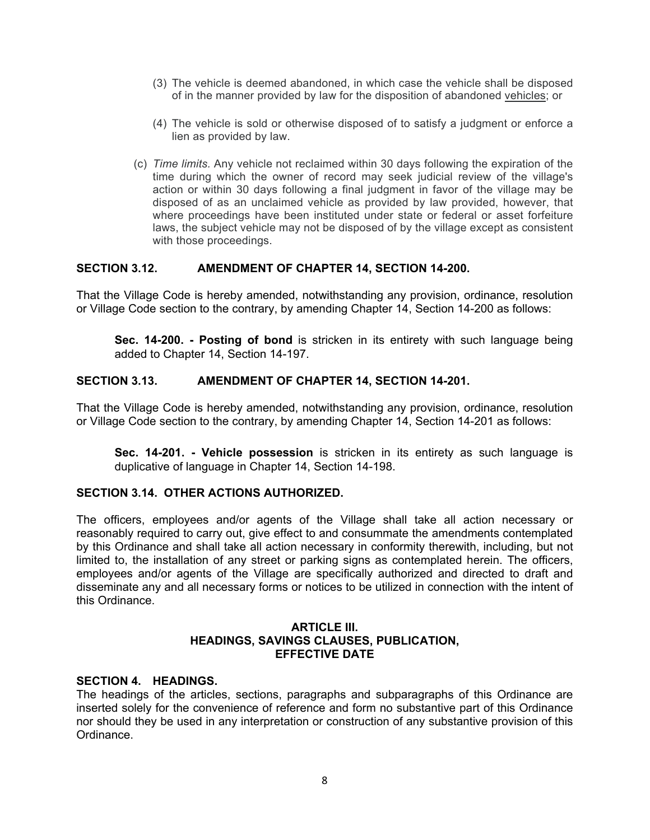- (3) The vehicle is deemed abandoned, in which case the vehicle shall be disposed of in the manner provided by law for the disposition of abandoned vehicles; or
- (4) The vehicle is sold or otherwise disposed of to satisfy a judgment or enforce a lien as provided by law.
- (c) *Time limits.* Any vehicle not reclaimed within 30 days following the expiration of the time during which the owner of record may seek judicial review of the village's action or within 30 days following a final judgment in favor of the village may be disposed of as an unclaimed vehicle as provided by law provided, however, that where proceedings have been instituted under state or federal or asset forfeiture laws, the subject vehicle may not be disposed of by the village except as consistent with those proceedings.

### **SECTION 3.12. AMENDMENT OF CHAPTER 14, SECTION 14-200.**

That the Village Code is hereby amended, notwithstanding any provision, ordinance, resolution or Village Code section to the contrary, by amending Chapter 14, Section 14-200 as follows:

**Sec. 14-200. - Posting of bond** is stricken in its entirety with such language being added to Chapter 14, Section 14-197.

### **SECTION 3.13. AMENDMENT OF CHAPTER 14, SECTION 14-201.**

That the Village Code is hereby amended, notwithstanding any provision, ordinance, resolution or Village Code section to the contrary, by amending Chapter 14, Section 14-201 as follows:

**Sec. 14-201. - Vehicle possession** is stricken in its entirety as such language is duplicative of language in Chapter 14, Section 14-198.

### **SECTION 3.14. OTHER ACTIONS AUTHORIZED.**

The officers, employees and/or agents of the Village shall take all action necessary or reasonably required to carry out, give effect to and consummate the amendments contemplated by this Ordinance and shall take all action necessary in conformity therewith, including, but not limited to, the installation of any street or parking signs as contemplated herein. The officers, employees and/or agents of the Village are specifically authorized and directed to draft and disseminate any and all necessary forms or notices to be utilized in connection with the intent of this Ordinance.

### **ARTICLE III. HEADINGS, SAVINGS CLAUSES, PUBLICATION, EFFECTIVE DATE**

### **SECTION 4. HEADINGS.**

The headings of the articles, sections, paragraphs and subparagraphs of this Ordinance are inserted solely for the convenience of reference and form no substantive part of this Ordinance nor should they be used in any interpretation or construction of any substantive provision of this Ordinance.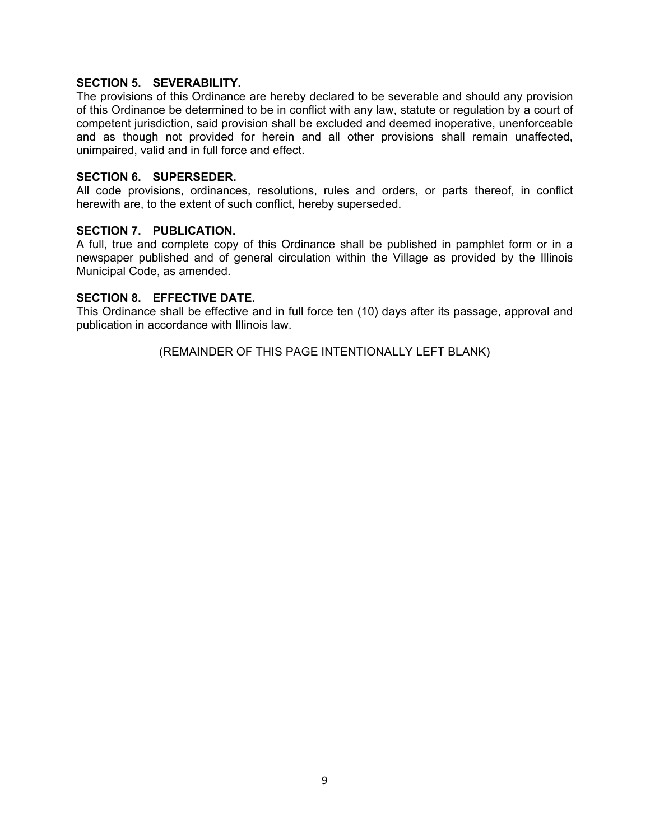### **SECTION 5. SEVERABILITY.**

The provisions of this Ordinance are hereby declared to be severable and should any provision of this Ordinance be determined to be in conflict with any law, statute or regulation by a court of competent jurisdiction, said provision shall be excluded and deemed inoperative, unenforceable and as though not provided for herein and all other provisions shall remain unaffected, unimpaired, valid and in full force and effect.

### **SECTION 6. SUPERSEDER.**

All code provisions, ordinances, resolutions, rules and orders, or parts thereof, in conflict herewith are, to the extent of such conflict, hereby superseded.

### **SECTION 7. PUBLICATION.**

A full, true and complete copy of this Ordinance shall be published in pamphlet form or in a newspaper published and of general circulation within the Village as provided by the Illinois Municipal Code, as amended.

### **SECTION 8. EFFECTIVE DATE.**

This Ordinance shall be effective and in full force ten (10) days after its passage, approval and publication in accordance with Illinois law.

(REMAINDER OF THIS PAGE INTENTIONALLY LEFT BLANK)